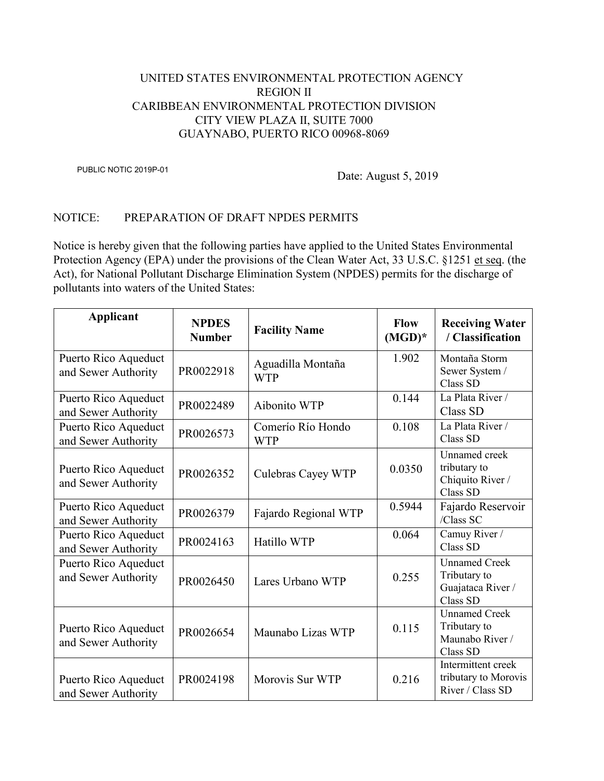## UNITED STATES ENVIRONMENTAL PROTECTION AGENCY REGION II CARIBBEAN ENVIRONMENTAL PROTECTION DIVISION CITY VIEW PLAZA II, SUITE 7000 GUAYNABO, PUERTO RICO 00968-8069

PUBLIC NOTIC 2019P-01

Date: August 5, 2019

## NOTICE: PREPARATION OF DRAFT NPDES PERMITS

Notice is hereby given that the following parties have applied to the United States Environmental Protection Agency (EPA) under the provisions of the Clean Water Act, 33 U.S.C. §1251 et seq. (the Act), for National Pollutant Discharge Elimination System (NPDES) permits for the discharge of pollutants into waters of the United States:

| <b>Applicant</b>                            | <b>NPDES</b><br><b>Number</b> | <b>Facility Name</b>            | <b>Flow</b><br>$(MGD)^*$ | <b>Receiving Water</b><br>/ Classification                            |
|---------------------------------------------|-------------------------------|---------------------------------|--------------------------|-----------------------------------------------------------------------|
| Puerto Rico Aqueduct<br>and Sewer Authority | PR0022918                     | Aguadilla Montaña<br><b>WTP</b> | 1.902                    | Montaña Storm<br>Sewer System /<br>Class SD                           |
| Puerto Rico Aqueduct<br>and Sewer Authority | PR0022489                     | Aibonito WTP                    | 0.144                    | La Plata River /<br>Class SD                                          |
| Puerto Rico Aqueduct<br>and Sewer Authority | PR0026573                     | Comerío Río Hondo<br><b>WTP</b> | 0.108                    | La Plata River /<br>Class SD                                          |
| Puerto Rico Aqueduct<br>and Sewer Authority | PR0026352                     | Culebras Cayey WTP              | 0.0350                   | Unnamed creek<br>tributary to<br>Chiquito River /<br>Class SD         |
| Puerto Rico Aqueduct<br>and Sewer Authority | PR0026379                     | Fajardo Regional WTP            | 0.5944                   | Fajardo Reservoir<br>/Class SC                                        |
| Puerto Rico Aqueduct<br>and Sewer Authority | PR0024163                     | Hatillo WTP                     | 0.064                    | Camuy River /<br>Class SD                                             |
| Puerto Rico Aqueduct<br>and Sewer Authority | PR0026450                     | Lares Urbano WTP                | 0.255                    | <b>Unnamed Creek</b><br>Tributary to<br>Guajataca River /<br>Class SD |
| Puerto Rico Aqueduct<br>and Sewer Authority | PR0026654                     | Maunabo Lizas WTP               | 0.115                    | <b>Unnamed Creek</b><br>Tributary to<br>Maunabo River /<br>Class SD   |
| Puerto Rico Aqueduct<br>and Sewer Authority | PR0024198                     | Morovis Sur WTP                 | 0.216                    | Intermittent creek<br>tributary to Morovis<br>River / Class SD        |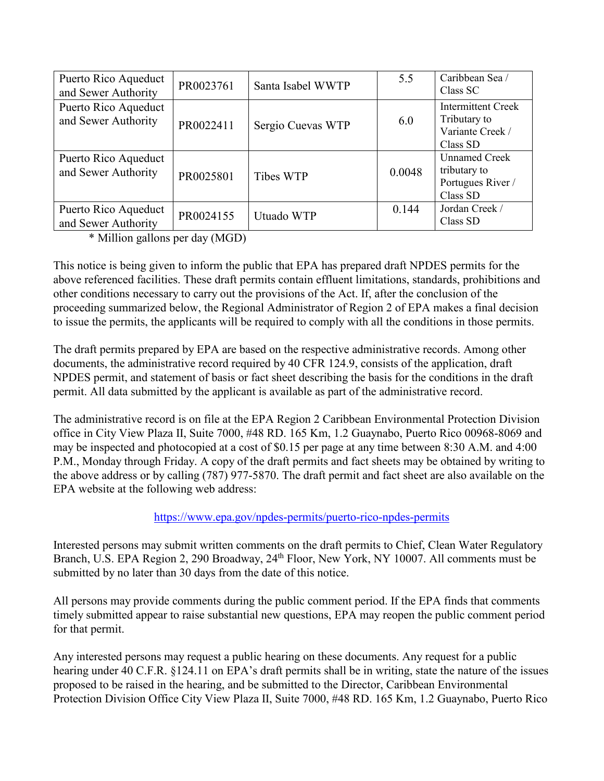| Puerto Rico Aqueduct<br>and Sewer Authority | PR0023761 | Santa Isabel WWTP | 5.5    | Caribbean Sea /<br>Class SC                                               |
|---------------------------------------------|-----------|-------------------|--------|---------------------------------------------------------------------------|
| Puerto Rico Aqueduct<br>and Sewer Authority | PR0022411 | Sergio Cuevas WTP | 6.0    | <b>Intermittent Creek</b><br>Tributary to<br>Variante Creek /<br>Class SD |
| Puerto Rico Aqueduct<br>and Sewer Authority | PR0025801 | Tibes WTP         | 0.0048 | <b>Unnamed Creek</b><br>tributary to<br>Portugues River /<br>Class SD     |
| Puerto Rico Aqueduct<br>and Sewer Authority | PR0024155 | Utuado WTP        | 0.144  | Jordan Creek /<br>Class SD                                                |

\* Million gallons per day (MGD)

This notice is being given to inform the public that EPA has prepared draft NPDES permits for the above referenced facilities. These draft permits contain effluent limitations, standards, prohibitions and other conditions necessary to carry out the provisions of the Act. If, after the conclusion of the proceeding summarized below, the Regional Administrator of Region 2 of EPA makes a final decision to issue the permits, the applicants will be required to comply with all the conditions in those permits.

The draft permits prepared by EPA are based on the respective administrative records. Among other documents, the administrative record required by 40 CFR 124.9, consists of the application, draft NPDES permit, and statement of basis or fact sheet describing the basis for the conditions in the draft permit. All data submitted by the applicant is available as part of the administrative record.

The administrative record is on file at the EPA Region 2 Caribbean Environmental Protection Division office in City View Plaza II, Suite 7000, #48 RD. 165 Km, 1.2 Guaynabo, Puerto Rico 00968-8069 and may be inspected and photocopied at a cost of \$0.15 per page at any time between 8:30 A.M. and 4:00 P.M., Monday through Friday. A copy of the draft permits and fact sheets may be obtained by writing to the above address or by calling (787) 977-5870. The draft permit and fact sheet are also available on the EPA website at the following web address:

## <https://www.epa.gov/npdes-permits/puerto-rico-npdes-permits>

Interested persons may submit written comments on the draft permits to Chief, Clean Water Regulatory Branch, U.S. EPA Region 2, 290 Broadway, 24<sup>th</sup> Floor, New York, NY 10007. All comments must be submitted by no later than 30 days from the date of this notice.

All persons may provide comments during the public comment period. If the EPA finds that comments timely submitted appear to raise substantial new questions, EPA may reopen the public comment period for that permit.

Any interested persons may request a public hearing on these documents. Any request for a public hearing under 40 C.F.R. §124.11 on EPA's draft permits shall be in writing, state the nature of the issues proposed to be raised in the hearing, and be submitted to the Director, Caribbean Environmental Protection Division Office City View Plaza II, Suite 7000, #48 RD. 165 Km, 1.2 Guaynabo, Puerto Rico